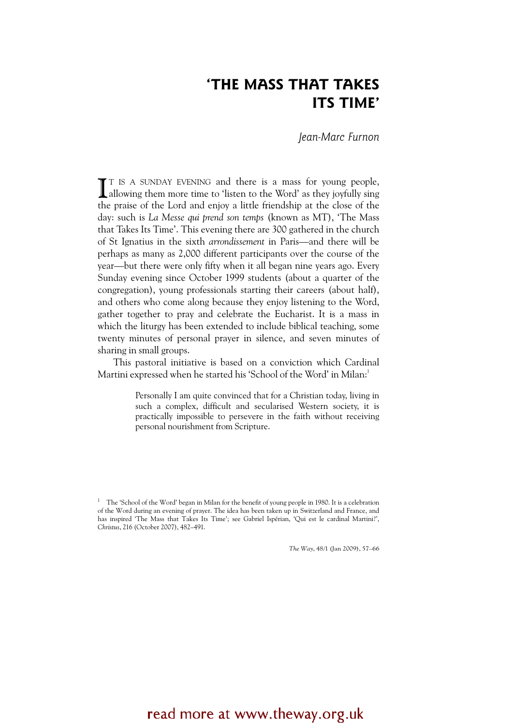# 'THE MASS THAT TAKES ITS TIME'

Jean-Marc Furnon

T IS A SUNDAY EVENING and there is a mass for young people, allowing them more time to 'listen to the Word' as they joyfully sing allowing them more time to 'listen to the Word' as they joyfully sing the praise of the Lord and enjoy a little friendship at the close of the day: such is La Messe qui prend son temps (known as MT), 'The Mass that Takes Its Time'. This evening there are 300 gathered in the church of St Ignatius in the sixth arrondissement in Paris—and there will be perhaps as many as 2,000 different participants over the course of the year—but there were only fifty when it all began nine years ago. Every Sunday evening since October 1999 students (about a quarter of the congregation), young professionals starting their careers (about half), and others who come along because they enjoy listening to the Word, gather together to pray and celebrate the Eucharist. It is a mass in which the liturgy has been extended to include biblical teaching, some twenty minutes of personal prayer in silence, and seven minutes of sharing in small groups.

This pastoral initiative is based on a conviction which Cardinal Martini expressed when he started his 'School of the Word' in Milan:1

> Personally I am quite convinced that for a Christian today, living in such a complex, difficult and secularised Western society, it is practically impossible to persevere in the faith without receiving personal nourishment from Scripture.

The Way, 48/1 (Jan 2009), 57–66

<sup>&</sup>lt;sup>1</sup> The 'School of the Word' began in Milan for the benefit of young people in 1980. It is a celebration of the Word during an evening of prayer. The idea has been taken up in Switzerland and France, and has inspired 'The Mass that Takes Its Time'; see Gabriel Ispérian, 'Qui est le cardinal Martini?', Christus, 216 (October 2007), 482–491.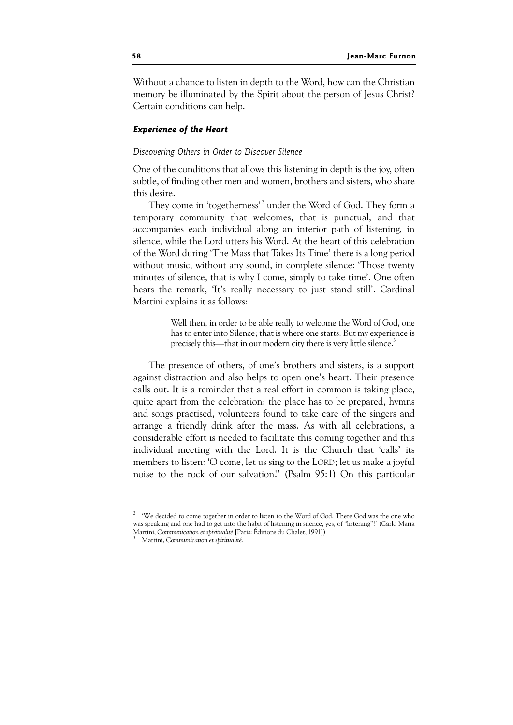Without a chance to listen in depth to the Word, how can the Christian memory be illuminated by the Spirit about the person of Jesus Christ? Certain conditions can help.

# Experience of the Heart

### Discovering Others in Order to Discover Silence

One of the conditions that allows this listening in depth is the joy, often subtle, of finding other men and women, brothers and sisters, who share this desire.

They come in 'togetherness'<sup>2</sup> under the Word of God. They form a temporary community that welcomes, that is punctual, and that accompanies each individual along an interior path of listening, in silence, while the Lord utters his Word. At the heart of this celebration of the Word during 'The Mass that Takes Its Time' there is a long period without music, without any sound, in complete silence: 'Those twenty minutes of silence, that is why I come, simply to take time'. One often hears the remark, 'It's really necessary to just stand still'. Cardinal Martini explains it as follows:

> Well then, in order to be able really to welcome the Word of God, one has to enter into Silence; that is where one starts. But my experience is precisely this—that in our modern city there is very little silence.<sup>3</sup>

The presence of others, of one's brothers and sisters, is a support against distraction and also helps to open one's heart. Their presence calls out. It is a reminder that a real effort in common is taking place, quite apart from the celebration: the place has to be prepared, hymns and songs practised, volunteers found to take care of the singers and arrange a friendly drink after the mass. As with all celebrations, a considerable effort is needed to facilitate this coming together and this individual meeting with the Lord. It is the Church that 'calls' its members to listen: 'O come, let us sing to the LORD; let us make a joyful noise to the rock of our salvation!' (Psalm 95:1) On this particular

<sup>&</sup>lt;sup>2</sup> 'We decided to come together in order to listen to the Word of God. There God was the one who was speaking and one had to get into the habit of listening in silence, yes, of "listening"!' (Carlo Maria Martini, Communication et spiritualité [Paris: Éditions du Chalet, 1991]) <sup>3</sup>

Martini, Communication et spiritualité.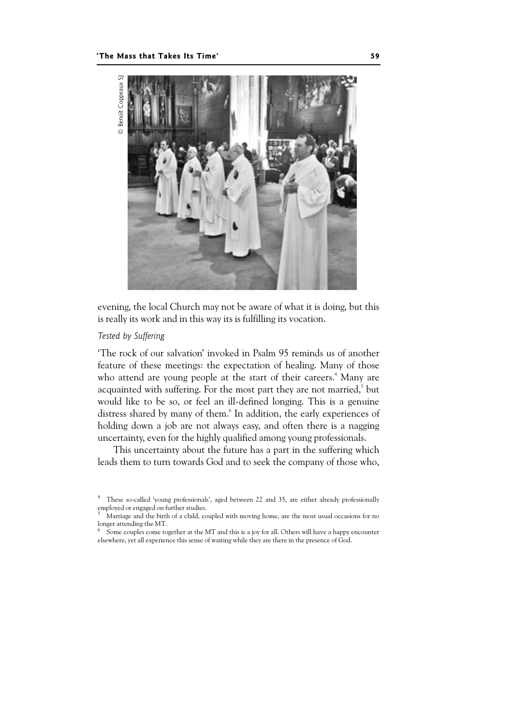

evening, the local Church may not be aware of what it is doing, but this is really its work and in this way its is fulfilling its vocation.

# Tested by Suffering

'The rock of our salvation' invoked in Psalm 95 reminds us of another feature of these meetings: the expectation of healing. Many of those who attend are young people at the start of their careers.<sup>4</sup> Many are acquainted with suffering. For the most part they are not married,<sup>5</sup> but would like to be so, or feel an ill-defined longing. This is a genuine distress shared by many of them.<sup>6</sup> In addition, the early experiences of holding down a job are not always easy, and often there is a nagging uncertainty, even for the highly qualified among young professionals.

This uncertainty about the future has a part in the suffering which leads them to turn towards God and to seek the company of those who,

6 Some couples come together at the MT and this is a joy for all. Others will have a happy encounter

<sup>&</sup>lt;sup>4</sup> These so-called 'young professionals', aged between 22 and 35, are either already professionally employed or engaged on further studies.

<sup>5</sup> Marriage and the birth of a child, coupled with moving home, are the most usual occasions for no longer attending the MT.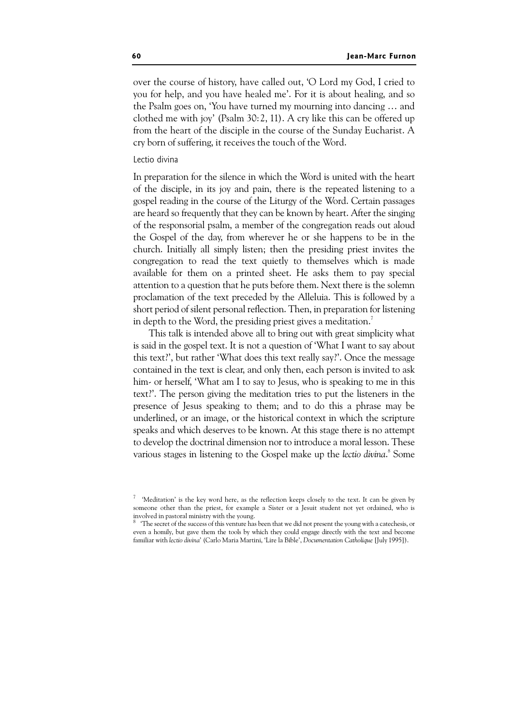over the course of history, have called out, 'O Lord my God, I cried to you for help, and you have healed me'. For it is about healing, and so the Psalm goes on, 'You have turned my mourning into dancing … and clothed me with joy' (Psalm 30:2, 11). A cry like this can be offered up from the heart of the disciple in the course of the Sunday Eucharist. A cry born of suffering, it receives the touch of the Word.

#### Lectio divina

In preparation for the silence in which the Word is united with the heart of the disciple, in its joy and pain, there is the repeated listening to a gospel reading in the course of the Liturgy of the Word. Certain passages are heard so frequently that they can be known by heart. After the singing of the responsorial psalm, a member of the congregation reads out aloud the Gospel of the day, from wherever he or she happens to be in the church. Initially all simply listen; then the presiding priest invites the congregation to read the text quietly to themselves which is made available for them on a printed sheet. He asks them to pay special attention to a question that he puts before them. Next there is the solemn proclamation of the text preceded by the Alleluia. This is followed by a short period of silent personal reflection. Then, in preparation for listening in depth to the Word, the presiding priest gives a meditation.<sup>7</sup>

This talk is intended above all to bring out with great simplicity what is said in the gospel text. It is not a question of 'What I want to say about this text?', but rather 'What does this text really say?'. Once the message contained in the text is clear, and only then, each person is invited to ask him- or herself, 'What am I to say to Jesus, who is speaking to me in this text?'. The person giving the meditation tries to put the listeners in the presence of Jesus speaking to them; and to do this a phrase may be underlined, or an image, or the historical context in which the scripture speaks and which deserves to be known. At this stage there is no attempt to develop the doctrinal dimension nor to introduce a moral lesson. These various stages in listening to the Gospel make up the lectio divina.<sup>8</sup> Some

<sup>&</sup>lt;sup>7</sup> 'Meditation' is the key word here, as the reflection keeps closely to the text. It can be given by someone other than the priest, for example a Sister or a Jesuit student not yet ordained, who is involved in pastoral ministry with the young. 8

 <sup>&#</sup>x27;The secret of the success of this venture has been that we did not present the young with a catechesis, or even a homily, but gave them the tools by which they could engage directly with the text and become familiar with lectio divina' (Carlo Maria Martini, 'Lire la Bible', Documentation Catholique [July 1995]).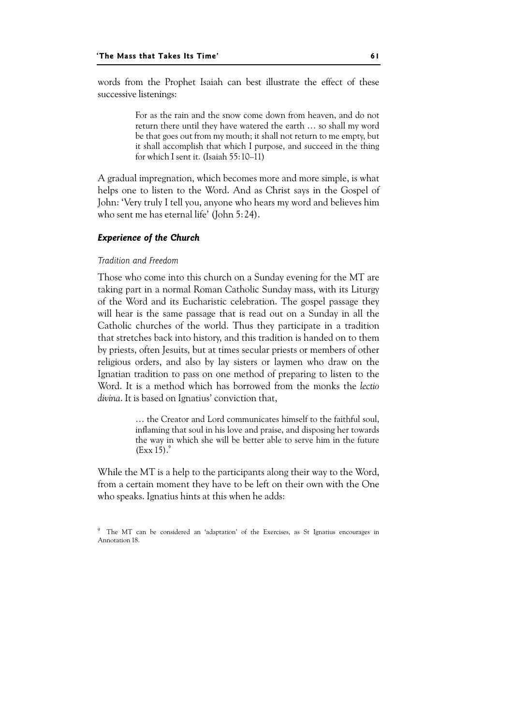words from the Prophet Isaiah can best illustrate the effect of these successive listenings:

> For as the rain and the snow come down from heaven, and do not return there until they have watered the earth … so shall my word be that goes out from my mouth; it shall not return to me empty, but it shall accomplish that which I purpose, and succeed in the thing for which I sent it. (Isaiah 55:10–11)

A gradual impregnation, which becomes more and more simple, is what helps one to listen to the Word. And as Christ says in the Gospel of John: 'Very truly I tell you, anyone who hears my word and believes him who sent me has eternal life' (John 5:24).

#### Experience of the Church

## Tradition and Freedom

Those who come into this church on a Sunday evening for the MT are taking part in a normal Roman Catholic Sunday mass, with its Liturgy of the Word and its Eucharistic celebration. The gospel passage they will hear is the same passage that is read out on a Sunday in all the Catholic churches of the world. Thus they participate in a tradition that stretches back into history, and this tradition is handed on to them by priests, often Jesuits, but at times secular priests or members of other religious orders, and also by lay sisters or laymen who draw on the Ignatian tradition to pass on one method of preparing to listen to the Word. It is a method which has borrowed from the monks the lectio divina. It is based on Ignatius' conviction that,

> … the Creator and Lord communicates himself to the faithful soul, inflaming that soul in his love and praise, and disposing her towards the way in which she will be better able to serve him in the future  $(Exx 15).$ <sup>9</sup>

While the MT is a help to the participants along their way to the Word, from a certain moment they have to be left on their own with the One who speaks. Ignatius hints at this when he adds:

<sup>&</sup>lt;sup>9</sup> The MT can be considered an 'adaptation' of the Exercises, as St Ignatius encourages in Annotation 18.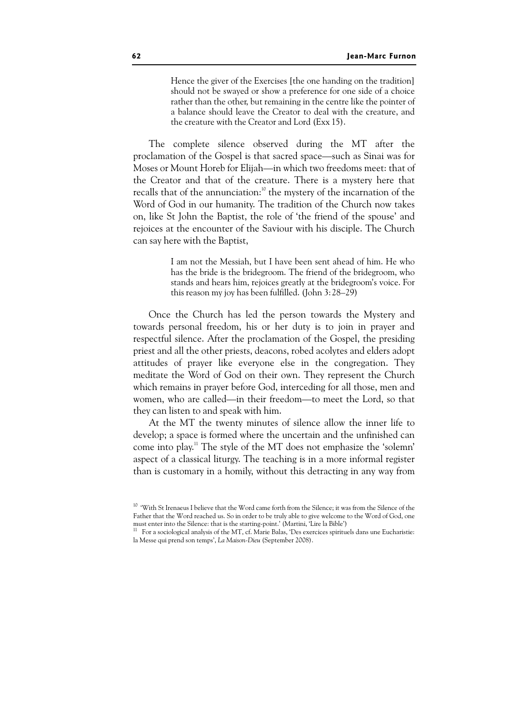Hence the giver of the Exercises [the one handing on the tradition] should not be swayed or show a preference for one side of a choice rather than the other, but remaining in the centre like the pointer of a balance should leave the Creator to deal with the creature, and the creature with the Creator and Lord (Exx 15).

The complete silence observed during the MT after the proclamation of the Gospel is that sacred space—such as Sinai was for Moses or Mount Horeb for Elijah—in which two freedoms meet: that of the Creator and that of the creature. There is a mystery here that recalls that of the annunciation:<sup>10</sup> the mystery of the incarnation of the Word of God in our humanity. The tradition of the Church now takes on, like St John the Baptist, the role of 'the friend of the spouse' and rejoices at the encounter of the Saviour with his disciple. The Church can say here with the Baptist,

> I am not the Messiah, but I have been sent ahead of him. He who has the bride is the bridegroom. The friend of the bridegroom, who stands and hears him, rejoices greatly at the bridegroom's voice. For this reason my joy has been fulfilled. (John 3:28–29)

Once the Church has led the person towards the Mystery and towards personal freedom, his or her duty is to join in prayer and respectful silence. After the proclamation of the Gospel, the presiding priest and all the other priests, deacons, robed acolytes and elders adopt attitudes of prayer like everyone else in the congregation. They meditate the Word of God on their own. They represent the Church which remains in prayer before God, interceding for all those, men and women, who are called—in their freedom—to meet the Lord, so that they can listen to and speak with him.

At the MT the twenty minutes of silence allow the inner life to develop; a space is formed where the uncertain and the unfinished can come into play.<sup>11</sup> The style of the MT does not emphasize the 'solemn' aspect of a classical liturgy. The teaching is in a more informal register than is customary in a homily, without this detracting in any way from

<sup>&</sup>lt;sup>10</sup> 'With St Irenaeus I believe that the Word came forth from the Silence; it was from the Silence of the Father that the Word reached us. So in order to be truly able to give welcome to the Word of God, one must enter into the Silence: that is the starting-point.' (Martini, 'Lire la Bible')

<sup>&</sup>lt;sup>11</sup> For a sociological analysis of the MT, cf. Marie Balas, 'Des exercices spirituels dans une Eucharistie: la Messe qui prend son temps', La Maison-Dieu (September 2008).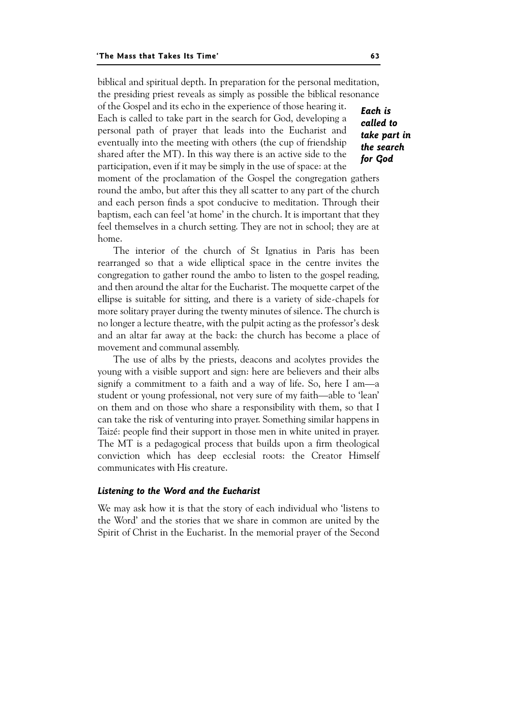biblical and spiritual depth. In preparation for the personal meditation, the presiding priest reveals as simply as possible the biblical resonance

Each is called to take part in the search for God of the Gospel and its echo in the experience of those hearing it. Each is called to take part in the search for God, developing a personal path of prayer that leads into the Eucharist and eventually into the meeting with others (the cup of friendship shared after the MT). In this way there is an active side to the participation, even if it may be simply in the use of space: at the moment of the proclamation of the Gospel the congregation gathers round the ambo, but after this they all scatter to any part of the church and each person finds a spot conducive to meditation. Through their baptism, each can feel 'at home' in the church. It is important that they feel themselves in a church setting. They are not in school; they are at home.

The interior of the church of St Ignatius in Paris has been rearranged so that a wide elliptical space in the centre invites the congregation to gather round the ambo to listen to the gospel reading, and then around the altar for the Eucharist. The moquette carpet of the ellipse is suitable for sitting, and there is a variety of side-chapels for more solitary prayer during the twenty minutes of silence. The church is no longer a lecture theatre, with the pulpit acting as the professor's desk and an altar far away at the back: the church has become a place of movement and communal assembly.

The use of albs by the priests, deacons and acolytes provides the young with a visible support and sign: here are believers and their albs signify a commitment to a faith and a way of life. So, here I am—a student or young professional, not very sure of my faith—able to 'lean' on them and on those who share a responsibility with them, so that I can take the risk of venturing into prayer. Something similar happens in Taizé: people find their support in those men in white united in prayer. The MT is a pedagogical process that builds upon a firm theological conviction which has deep ecclesial roots: the Creator Himself communicates with His creature.

#### Listening to the Word and the Eucharist

We may ask how it is that the story of each individual who 'listens to the Word' and the stories that we share in common are united by the Spirit of Christ in the Eucharist. In the memorial prayer of the Second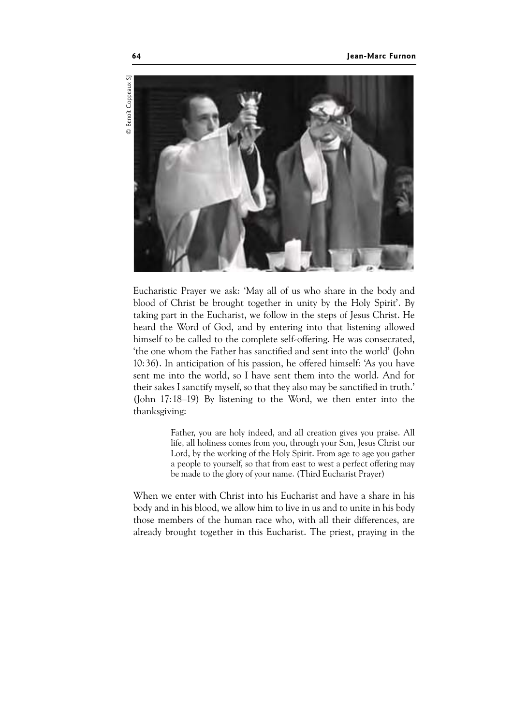

Eucharistic Prayer we ask: 'May all of us who share in the body and blood of Christ be brought together in unity by the Holy Spirit'. By taking part in the Eucharist, we follow in the steps of Jesus Christ. He heard the Word of God, and by entering into that listening allowed himself to be called to the complete self-offering. He was consecrated, 'the one whom the Father has sanctified and sent into the world' (John 10:36). In anticipation of his passion, he offered himself: 'As you have sent me into the world, so I have sent them into the world. And for their sakes I sanctify myself, so that they also may be sanctified in truth.' (John 17:18–19) By listening to the Word, we then enter into the thanksgiving:

> Father, you are holy indeed, and all creation gives you praise. All life, all holiness comes from you, through your Son, Jesus Christ our Lord, by the working of the Holy Spirit. From age to age you gather a people to yourself, so that from east to west a perfect offering may be made to the glory of your name. (Third Eucharist Prayer)

When we enter with Christ into his Eucharist and have a share in his body and in his blood, we allow him to live in us and to unite in his body those members of the human race who, with all their differences, are already brought together in this Eucharist. The priest, praying in the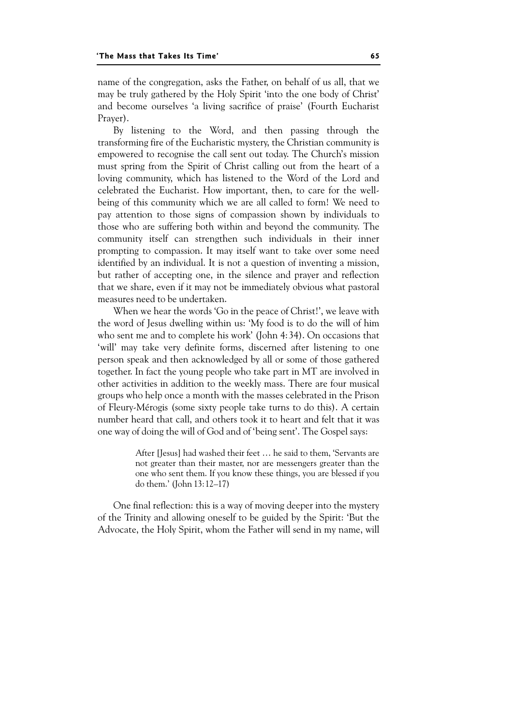name of the congregation, asks the Father, on behalf of us all, that we may be truly gathered by the Holy Spirit 'into the one body of Christ' and become ourselves 'a living sacrifice of praise' (Fourth Eucharist Prayer).

By listening to the Word, and then passing through the transforming fire of the Eucharistic mystery, the Christian community is empowered to recognise the call sent out today. The Church's mission must spring from the Spirit of Christ calling out from the heart of a loving community, which has listened to the Word of the Lord and celebrated the Eucharist. How important, then, to care for the wellbeing of this community which we are all called to form! We need to pay attention to those signs of compassion shown by individuals to those who are suffering both within and beyond the community. The community itself can strengthen such individuals in their inner prompting to compassion. It may itself want to take over some need identified by an individual. It is not a question of inventing a mission, but rather of accepting one, in the silence and prayer and reflection that we share, even if it may not be immediately obvious what pastoral measures need to be undertaken.

When we hear the words 'Go in the peace of Christ!', we leave with the word of Jesus dwelling within us: 'My food is to do the will of him who sent me and to complete his work' (John 4:34). On occasions that 'will' may take very definite forms, discerned after listening to one person speak and then acknowledged by all or some of those gathered together. In fact the young people who take part in MT are involved in other activities in addition to the weekly mass. There are four musical groups who help once a month with the masses celebrated in the Prison of Fleury-Mérogis (some sixty people take turns to do this). A certain number heard that call, and others took it to heart and felt that it was one way of doing the will of God and of 'being sent'. The Gospel says:

> After [Jesus] had washed their feet … he said to them, 'Servants are not greater than their master, nor are messengers greater than the one who sent them. If you know these things, you are blessed if you do them.' (John 13:12–17)

One final reflection: this is a way of moving deeper into the mystery of the Trinity and allowing oneself to be guided by the Spirit: 'But the Advocate, the Holy Spirit, whom the Father will send in my name, will